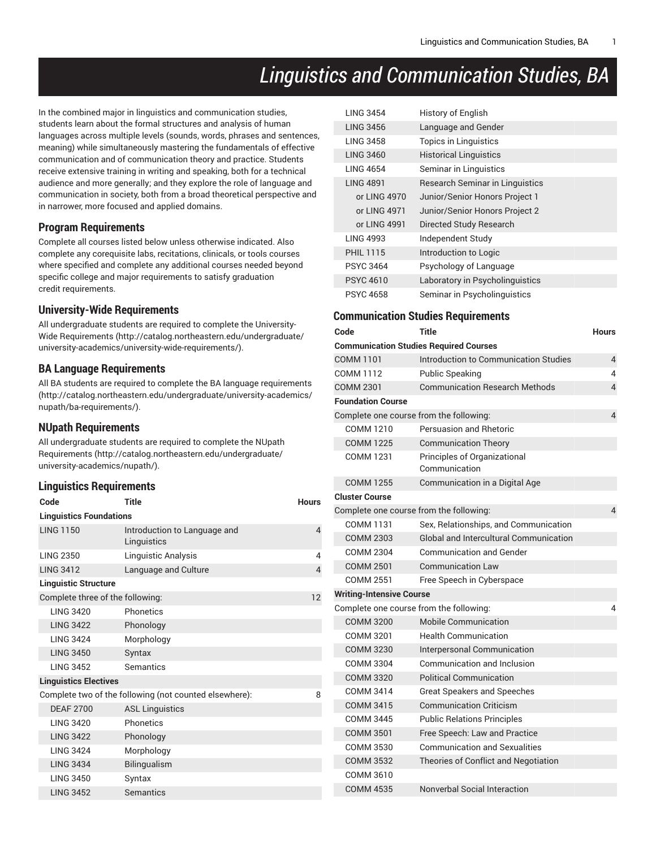# *Linguistics and Communication Studies, BA*

In the combined major in linguistics and communication studies, students learn about the formal structures and analysis of human languages across multiple levels (sounds, words, phrases and sentences, meaning) while simultaneously mastering the fundamentals of effective communication and of communication theory and practice. Students receive extensive training in writing and speaking, both for a technical audience and more generally; and they explore the role of language and communication in society, both from a broad theoretical perspective and in narrower, more focused and applied domains.

#### **Program Requirements**

Complete all courses listed below unless otherwise indicated. Also complete any corequisite labs, recitations, clinicals, or tools courses where specified and complete any additional courses needed beyond specific college and major requirements to satisfy graduation credit requirements.

#### **University-Wide Requirements**

All undergraduate students are required to complete the [University-](http://catalog.northeastern.edu/undergraduate/university-academics/university-wide-requirements/)Wide [Requirements](http://catalog.northeastern.edu/undergraduate/university-academics/university-wide-requirements/) ([http://catalog.northeastern.edu/undergraduate/](http://catalog.northeastern.edu/undergraduate/university-academics/university-wide-requirements/) [university-academics/university-wide-requirements/\)](http://catalog.northeastern.edu/undergraduate/university-academics/university-wide-requirements/).

#### **BA Language Requirements**

All BA students are required to complete the BA language [requirements](http://catalog.northeastern.edu/undergraduate/university-academics/nupath/ba-requirements/) ([http://catalog.northeastern.edu/undergraduate/university-academics/](http://catalog.northeastern.edu/undergraduate/university-academics/nupath/ba-requirements/) [nupath/ba-requirements/\)](http://catalog.northeastern.edu/undergraduate/university-academics/nupath/ba-requirements/).

#### **NUpath Requirements**

All undergraduate students are required to complete the [NUpath](http://catalog.northeastern.edu/undergraduate/university-academics/nupath/) [Requirements](http://catalog.northeastern.edu/undergraduate/university-academics/nupath/) ([http://catalog.northeastern.edu/undergraduate/](http://catalog.northeastern.edu/undergraduate/university-academics/nupath/) [university-academics/nupath/](http://catalog.northeastern.edu/undergraduate/university-academics/nupath/)).

#### **Linguistics Requirements**

| Code                             | <b>Title</b>                                           | <b>Hours</b> |
|----------------------------------|--------------------------------------------------------|--------------|
| <b>Linguistics Foundations</b>   |                                                        |              |
| <b>LING 1150</b>                 | Introduction to Language and<br>Linguistics            | 4            |
| <b>LING 2350</b>                 | Linguistic Analysis                                    | 4            |
| <b>LING 3412</b>                 | Language and Culture                                   | 4            |
| <b>Linguistic Structure</b>      |                                                        |              |
| Complete three of the following: |                                                        | 12           |
| <b>LING 3420</b>                 | Phonetics                                              |              |
| <b>LING 3422</b>                 | Phonology                                              |              |
| <b>LING 3424</b>                 | Morphology                                             |              |
| <b>LING 3450</b>                 | Syntax                                                 |              |
| <b>LING 3452</b>                 | Semantics                                              |              |
| <b>Linguistics Electives</b>     |                                                        |              |
|                                  | Complete two of the following (not counted elsewhere): | 8            |
| <b>DEAF 2700</b>                 | <b>ASL Linguistics</b>                                 |              |
| <b>LING 3420</b>                 | Phonetics                                              |              |
| <b>LING 3422</b>                 | Phonology                                              |              |
| <b>LING 3424</b>                 | Morphology                                             |              |
| <b>LING 3434</b>                 | Bilingualism                                           |              |
| <b>LING 3450</b>                 | Syntax                                                 |              |
| <b>LING 3452</b>                 | Semantics                                              |              |

| <b>LING 3454</b> | <b>History of English</b>              |
|------------------|----------------------------------------|
| <b>LING 3456</b> | Language and Gender                    |
| <b>LING 3458</b> | <b>Topics in Linguistics</b>           |
| <b>LING 3460</b> | <b>Historical Linguistics</b>          |
| <b>LING 4654</b> | Seminar in Linguistics                 |
| <b>LING 4891</b> | <b>Research Seminar in Linguistics</b> |
| or LING 4970     | Junior/Senior Honors Project 1         |
| or LING 4971     | Junior/Senior Honors Project 2         |
| or LING 4991     | Directed Study Research                |
| <b>LING 4993</b> | Independent Study                      |
| <b>PHIL 1115</b> | Introduction to Logic                  |
| <b>PSYC 3464</b> | Psychology of Language                 |
| <b>PSYC 4610</b> | Laboratory in Psycholinguistics        |
| <b>PSYC 4658</b> | Seminar in Psycholinguistics           |

#### **Communication Studies Requirements**

| Code                                    | <b>Title</b>                                  | <b>Hours</b>   |
|-----------------------------------------|-----------------------------------------------|----------------|
|                                         | <b>Communication Studies Required Courses</b> |                |
| <b>COMM 1101</b>                        | Introduction to Communication Studies         | $\overline{4}$ |
| <b>COMM 1112</b>                        | Public Speaking                               | 4              |
| <b>COMM 2301</b>                        | <b>Communication Research Methods</b>         | 4              |
| <b>Foundation Course</b>                |                                               |                |
| Complete one course from the following: |                                               | $\overline{4}$ |
| COMM 1210                               | Persuasion and Rhetoric                       |                |
| <b>COMM 1225</b>                        | <b>Communication Theory</b>                   |                |
| COMM 1231                               | Principles of Organizational<br>Communication |                |
| <b>COMM 1255</b>                        | Communication in a Digital Age                |                |
| <b>Cluster Course</b>                   |                                               |                |
| Complete one course from the following: |                                               | 4              |
| COMM 1131                               | Sex, Relationships, and Communication         |                |
| <b>COMM 2303</b>                        | Global and Intercultural Communication        |                |
| COMM 2304                               | <b>Communication and Gender</b>               |                |
| <b>COMM 2501</b>                        | <b>Communication Law</b>                      |                |
| <b>COMM 2551</b>                        | Free Speech in Cyberspace                     |                |
| <b>Writing-Intensive Course</b>         |                                               |                |
| Complete one course from the following: |                                               | 4              |
| <b>COMM 3200</b>                        | <b>Mobile Communication</b>                   |                |
| COMM 3201                               | <b>Health Communication</b>                   |                |
| <b>COMM 3230</b>                        | Interpersonal Communication                   |                |
| COMM 3304                               | Communication and Inclusion                   |                |
| COMM 3320                               | <b>Political Communication</b>                |                |
| <b>COMM 3414</b>                        | <b>Great Speakers and Speeches</b>            |                |
| <b>COMM 3415</b>                        | <b>Communication Criticism</b>                |                |
| COMM 3445                               | <b>Public Relations Principles</b>            |                |
| <b>COMM 3501</b>                        | Free Speech: Law and Practice                 |                |
| <b>COMM 3530</b>                        | <b>Communication and Sexualities</b>          |                |
| <b>COMM 3532</b>                        | Theories of Conflict and Negotiation          |                |
| COMM 3610                               |                                               |                |
| <b>COMM 4535</b>                        | Nonverbal Social Interaction                  |                |
|                                         |                                               |                |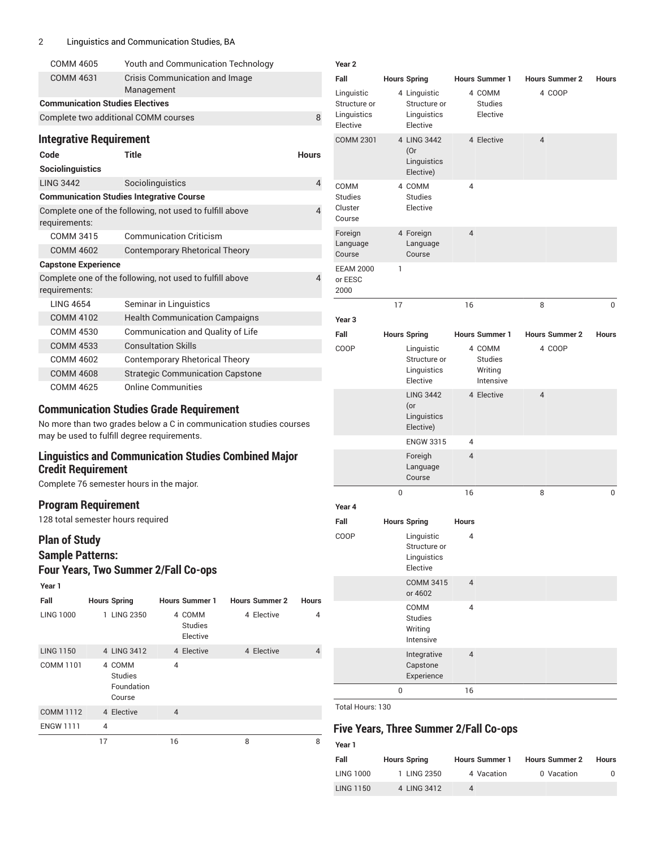#### 2 Linguistics and Communication Studies, BA

| COMM 4605                              | <b>Youth and Communication Technology</b>                |                |
|----------------------------------------|----------------------------------------------------------|----------------|
| <b>COMM 4631</b>                       | Crisis Communication and Image<br>Management             |                |
| <b>Communication Studies Electives</b> |                                                          |                |
|                                        | Complete two additional COMM courses                     | 8              |
| <b>Integrative Requirement</b>         |                                                          |                |
| Code                                   | Title                                                    | <b>Hours</b>   |
| Sociolinguistics                       |                                                          |                |
| <b>LING 3442</b>                       | Sociolinguistics                                         | $\overline{4}$ |
|                                        | <b>Communication Studies Integrative Course</b>          |                |
| requirements:                          | Complete one of the following, not used to fulfill above | $\overline{4}$ |
| COMM 3415                              | <b>Communication Criticism</b>                           |                |
| <b>COMM 4602</b>                       | <b>Contemporary Rhetorical Theory</b>                    |                |
| <b>Capstone Experience</b>             |                                                          |                |
| requirements:                          | Complete one of the following, not used to fulfill above | $\overline{4}$ |
| <b>LING 4654</b>                       | Seminar in Linguistics                                   |                |
| <b>COMM 4102</b>                       | <b>Health Communication Campaigns</b>                    |                |
| <b>COMM 4530</b>                       | Communication and Quality of Life                        |                |
| <b>COMM 4533</b>                       | <b>Consultation Skills</b>                               |                |
| COMM 4602                              | <b>Contemporary Rhetorical Theory</b>                    |                |
| <b>COMM 4608</b>                       | <b>Strategic Communication Capstone</b>                  |                |
| <b>COMM 4625</b>                       | <b>Online Communities</b>                                |                |

# **Communication Studies Grade Requirement**

No more than two grades below a C in communication studies courses may be used to fulfill degree requirements.

# **Linguistics and Communication Studies Combined Major Credit Requirement**

Complete 76 semester hours in the major.

#### **Program Requirement**

128 total semester hours required

# **Plan of Study Sample Patterns:**

# **Four Years, Two Summer 2/Fall Co-ops**

| Year 1           |                                                  |                                      |                       |              |
|------------------|--------------------------------------------------|--------------------------------------|-----------------------|--------------|
| Fall             | <b>Hours Spring</b>                              | <b>Hours Summer 1</b>                | <b>Hours Summer 2</b> | <b>Hours</b> |
| <b>LING 1000</b> | 1 LING 2350                                      | 4 COMM<br><b>Studies</b><br>Elective | 4 Elective            | 4            |
| <b>LING 1150</b> | 4 LING 3412                                      | 4 Elective                           | 4 Elective            | 4            |
| COMM 1101        | 4 COMM<br><b>Studies</b><br>Foundation<br>Course | $\overline{4}$                       |                       |              |
| <b>COMM 1112</b> | 4 Elective                                       | $\overline{4}$                       |                       |              |
| <b>ENGW 1111</b> | 4                                                |                                      |                       |              |
|                  | 17                                               | 16                                   | 8                     | 8            |

| Year <sub>2</sub>                                     |             |                                                                              |                                |                                           |                       |              |
|-------------------------------------------------------|-------------|------------------------------------------------------------------------------|--------------------------------|-------------------------------------------|-----------------------|--------------|
| Fall                                                  |             | <b>Hours Spring</b>                                                          |                                | <b>Hours Summer 1</b>                     | <b>Hours Summer 2</b> | Hours        |
| Linguistic<br>Structure or<br>Linguistics<br>Elective |             | 4 Linguistic<br>Structure or<br>Linguistics<br>Elective                      |                                | 4 COMM<br><b>Studies</b><br>Elective      | 4 COOP                |              |
| <b>COMM 2301</b>                                      |             | 4 LING 3442<br>(Or<br>Linguistics<br>Elective)                               |                                | 4 Elective                                | $\overline{4}$        |              |
| COMM<br><b>Studies</b><br>Cluster<br>Course           |             | 4 COMM<br><b>Studies</b><br>Elective                                         | 4                              |                                           |                       |              |
| Foreign<br>Language<br>Course                         |             | 4 Foreign<br>Language<br>Course                                              | $\overline{4}$                 |                                           |                       |              |
| <b>EEAM 2000</b><br>or EESC<br>2000                   | 1           |                                                                              |                                |                                           |                       |              |
|                                                       | 17          |                                                                              | 16                             |                                           | 8                     | 0            |
| Year <sub>3</sub>                                     |             |                                                                              |                                |                                           |                       |              |
| Fall                                                  |             | <b>Hours Spring</b>                                                          |                                | <b>Hours Summer 1</b>                     | <b>Hours Summer 2</b> | <b>Hours</b> |
| COOP                                                  |             | Linguistic<br>Structure or<br>Linguistics<br>Elective                        |                                | 4 COMM<br>Studies<br>Writing<br>Intensive | 4 COOP                |              |
|                                                       |             | <b>LING 3442</b><br>$($ or<br>Linguistics<br>Elective)                       |                                | 4 Elective                                | $\overline{4}$        |              |
|                                                       |             | <b>ENGW 3315</b>                                                             | 4                              |                                           |                       |              |
|                                                       |             | Foreigh<br>Language<br>Course                                                | $\overline{4}$                 |                                           |                       |              |
|                                                       | $\mathbf 0$ |                                                                              | 16                             |                                           | 8                     | 0            |
| Year 4                                                |             |                                                                              |                                |                                           |                       |              |
| Fall<br>COOP                                          |             | <b>Hours Spring</b><br>Linguistic<br>Structure or<br>Linguistics<br>Elective | <b>Hours</b><br>$\overline{4}$ |                                           |                       |              |
|                                                       |             | <b>COMM 3415</b><br>or 4602                                                  | $\overline{4}$                 |                                           |                       |              |
|                                                       |             | COMM<br><b>Studies</b><br>Writing<br>Intensive                               | 4                              |                                           |                       |              |
|                                                       |             | Integrative<br>Capstone<br>Experience                                        | $\overline{4}$                 |                                           |                       |              |
|                                                       | 0           |                                                                              | 16                             |                                           |                       |              |

Total Hours: 130

**Year 1**

# **Five Years, Three Summer 2/Fall Co-ops**

| Fall             | <b>Hours Spring</b> | <b>Hours Summer 1</b> | <b>Hours Summer 2</b> | <b>Hours</b> |
|------------------|---------------------|-----------------------|-----------------------|--------------|
| <b>LING 1000</b> | 1 LING 2350         | 4 Vacation            | 0 Vacation            |              |
| <b>LING 1150</b> | 4 LING 3412         |                       |                       |              |